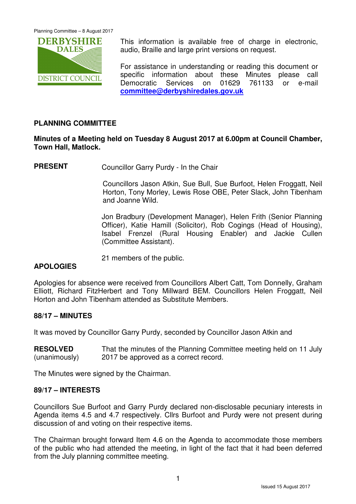

This information is available free of charge in electronic, audio, Braille and large print versions on request.

For assistance in understanding or reading this document or specific information about these Minutes please call Democratic Services on 01629 761133 or e-mail **committee@derbyshiredales.gov.uk**

# **PLANNING COMMITTEE**

### **Minutes of a Meeting held on Tuesday 8 August 2017 at 6.00pm at Council Chamber, Town Hall, Matlock.**

**PRESENT** Councillor Garry Purdy - In the Chair

 Councillors Jason Atkin, Sue Bull, Sue Burfoot, Helen Froggatt, Neil Horton, Tony Morley, Lewis Rose OBE, Peter Slack, John Tibenham and Joanne Wild.

Jon Bradbury (Development Manager), Helen Frith (Senior Planning Officer), Katie Hamill (Solicitor), Rob Cogings (Head of Housing), Isabel Frenzel (Rural Housing Enabler) and Jackie Cullen (Committee Assistant).

21 members of the public.

# **APOLOGIES**

Apologies for absence were received from Councillors Albert Catt, Tom Donnelly, Graham Elliott, Richard FitzHerbert and Tony Millward BEM. Councillors Helen Froggatt, Neil Horton and John Tibenham attended as Substitute Members.

### **88/17 – MINUTES**

It was moved by Councillor Garry Purdy, seconded by Councillor Jason Atkin and

**RESOLVED** (unanimously) That the minutes of the Planning Committee meeting held on 11 July 2017 be approved as a correct record.

The Minutes were signed by the Chairman.

#### **89/17 – INTERESTS**

Councillors Sue Burfoot and Garry Purdy declared non-disclosable pecuniary interests in Agenda items 4.5 and 4.7 respectively. Cllrs Burfoot and Purdy were not present during discussion of and voting on their respective items.

The Chairman brought forward Item 4.6 on the Agenda to accommodate those members of the public who had attended the meeting, in light of the fact that it had been deferred from the July planning committee meeting.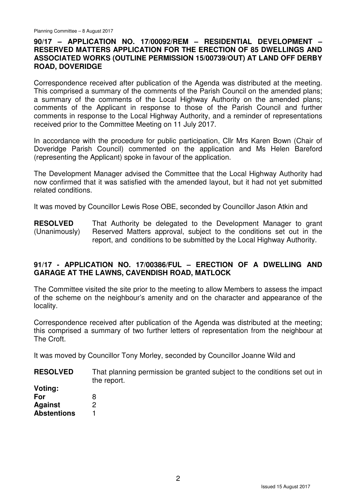### **90/17 – APPLICATION NO. 17/00092/REM – RESIDENTIAL DEVELOPMENT – RESERVED MATTERS APPLICATION FOR THE ERECTION OF 85 DWELLINGS AND ASSOCIATED WORKS (OUTLINE PERMISSION 15/00739/OUT) AT LAND OFF DERBY ROAD, DOVERIDGE**

Correspondence received after publication of the Agenda was distributed at the meeting. This comprised a summary of the comments of the Parish Council on the amended plans; a summary of the comments of the Local Highway Authority on the amended plans; comments of the Applicant in response to those of the Parish Council and further comments in response to the Local Highway Authority, and a reminder of representations received prior to the Committee Meeting on 11 July 2017.

In accordance with the procedure for public participation, Cllr Mrs Karen Bown (Chair of Doveridge Parish Council) commented on the application and Ms Helen Bareford (representing the Applicant) spoke in favour of the application.

The Development Manager advised the Committee that the Local Highway Authority had now confirmed that it was satisfied with the amended layout, but it had not yet submitted related conditions.

It was moved by Councillor Lewis Rose OBE, seconded by Councillor Jason Atkin and

**RESOLVED** (Unanimously) That Authority be delegated to the Development Manager to grant Reserved Matters approval, subject to the conditions set out in the report, and conditions to be submitted by the Local Highway Authority.

# **91/17 - APPLICATION NO. 17/00386/FUL – ERECTION OF A DWELLING AND GARAGE AT THE LAWNS, CAVENDISH ROAD, MATLOCK**

The Committee visited the site prior to the meeting to allow Members to assess the impact of the scheme on the neighbour's amenity and on the character and appearance of the locality.

Correspondence received after publication of the Agenda was distributed at the meeting; this comprised a summary of two further letters of representation from the neighbour at The Croft.

It was moved by Councillor Tony Morley, seconded by Councillor Joanne Wild and

- **RESOLVED** That planning permission be granted subject to the conditions set out in the report.
- **Voting: For Against Abstentions**  8  $\mathfrak{p}$ 1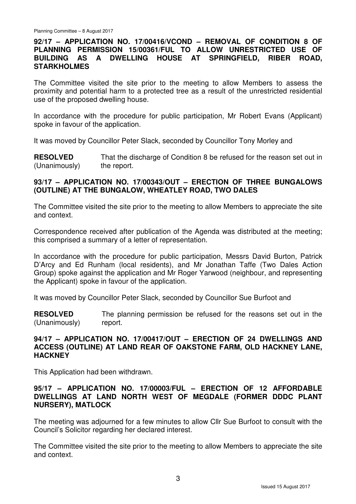### **92/17 – APPLICATION NO. 17/00416/VCOND – REMOVAL OF CONDITION 8 OF PLANNING PERMISSION 15/00361/FUL TO ALLOW UNRESTRICTED USE OF BUILDING AS A DWELLING HOUSE AT SPRINGFIELD, RIBER ROAD, STARKHOLMES**

The Committee visited the site prior to the meeting to allow Members to assess the proximity and potential harm to a protected tree as a result of the unrestricted residential use of the proposed dwelling house.

In accordance with the procedure for public participation, Mr Robert Evans (Applicant) spoke in favour of the application.

It was moved by Councillor Peter Slack, seconded by Councillor Tony Morley and

**RESOLVED** (Unanimously) That the discharge of Condition 8 be refused for the reason set out in the report.

#### **93/17 – APPLICATION NO. 17/00343/OUT – ERECTION OF THREE BUNGALOWS (OUTLINE) AT THE BUNGALOW, WHEATLEY ROAD, TWO DALES**

The Committee visited the site prior to the meeting to allow Members to appreciate the site and context.

Correspondence received after publication of the Agenda was distributed at the meeting; this comprised a summary of a letter of representation.

In accordance with the procedure for public participation, Messrs David Burton, Patrick D'Arcy and Ed Runham (local residents), and Mr Jonathan Taffe (Two Dales Action Group) spoke against the application and Mr Roger Yarwood (neighbour, and representing the Applicant) spoke in favour of the application.

It was moved by Councillor Peter Slack, seconded by Councillor Sue Burfoot and

**RESOLVED** (Unanimously) The planning permission be refused for the reasons set out in the report.

### **94/17 – APPLICATION NO. 17/00417/OUT – ERECTION OF 24 DWELLINGS AND ACCESS (OUTLINE) AT LAND REAR OF OAKSTONE FARM, OLD HACKNEY LANE, HACKNEY**

This Application had been withdrawn.

### **95/17 – APPLICATION NO. 17/00003/FUL – ERECTION OF 12 AFFORDABLE DWELLINGS AT LAND NORTH WEST OF MEGDALE (FORMER DDDC PLANT NURSERY), MATLOCK**

The meeting was adjourned for a few minutes to allow Cllr Sue Burfoot to consult with the Council's Solicitor regarding her declared interest.

The Committee visited the site prior to the meeting to allow Members to appreciate the site and context.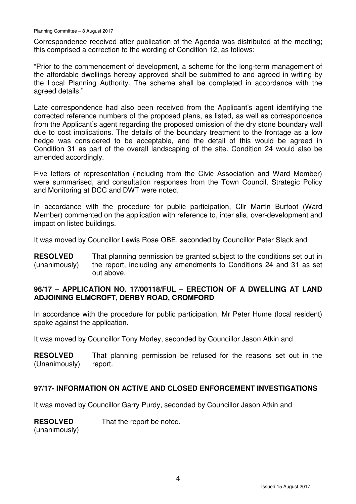Correspondence received after publication of the Agenda was distributed at the meeting; this comprised a correction to the wording of Condition 12, as follows:

"Prior to the commencement of development, a scheme for the long-term management of the affordable dwellings hereby approved shall be submitted to and agreed in writing by the Local Planning Authority. The scheme shall be completed in accordance with the agreed details."

Late correspondence had also been received from the Applicant's agent identifying the corrected reference numbers of the proposed plans, as listed, as well as correspondence from the Applicant's agent regarding the proposed omission of the dry stone boundary wall due to cost implications. The details of the boundary treatment to the frontage as a low hedge was considered to be acceptable, and the detail of this would be agreed in Condition 31 as part of the overall landscaping of the site. Condition 24 would also be amended accordingly.

Five letters of representation (including from the Civic Association and Ward Member) were summarised, and consultation responses from the Town Council, Strategic Policy and Monitoring at DCC and DWT were noted.

In accordance with the procedure for public participation, Cllr Martin Burfoot (Ward Member) commented on the application with reference to, inter alia, over-development and impact on listed buildings.

It was moved by Councillor Lewis Rose OBE, seconded by Councillor Peter Slack and

**RESOLVED** (unanimously) That planning permission be granted subject to the conditions set out in the report, including any amendments to Conditions 24 and 31 as set out above.

# **96/17 – APPLICATION NO. 17/00118/FUL – ERECTION OF A DWELLING AT LAND ADJOINING ELMCROFT, DERBY ROAD, CROMFORD**

In accordance with the procedure for public participation, Mr Peter Hume (local resident) spoke against the application.

It was moved by Councillor Tony Morley, seconded by Councillor Jason Atkin and

**RESOLVED** (Unanimously) That planning permission be refused for the reasons set out in the report.

### **97/17- INFORMATION ON ACTIVE AND CLOSED ENFORCEMENT INVESTIGATIONS**

It was moved by Councillor Garry Purdy, seconded by Councillor Jason Atkin and

**RESOLVED** That the report be noted.

(unanimously)